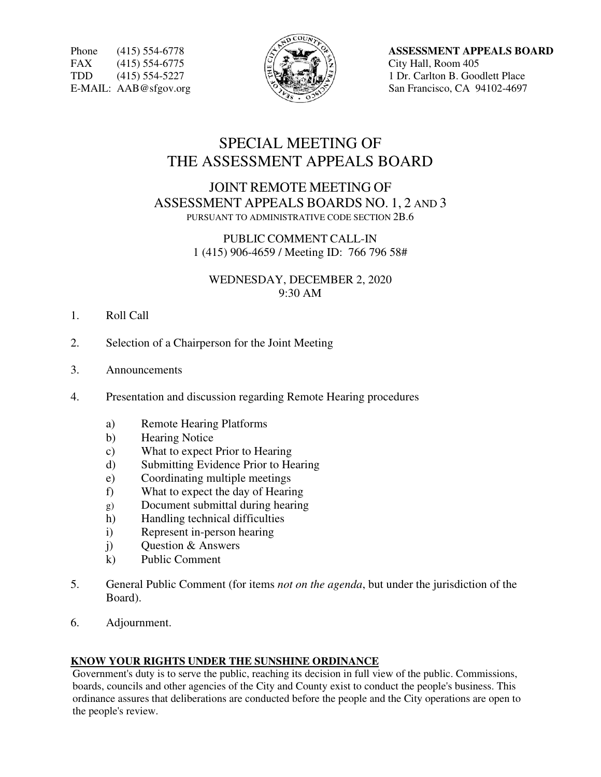FAX (415) 554-6775  $\left|\frac{1}{2}\right| \sum_{n=1}^{\infty} \binom{3}{n}$  City Hall, Room 405



Phone (415) 554-6778  $\mathbb{A}^{\mathcal{P}}$  **ASSESSMENT APPEALS BOARD** TDD (415) 554-5227  $\left\{\begin{matrix} \mathbb{R}^n \\ \mathbb{R}^n \end{matrix}\right\}$  1 Dr. Carlton B. Goodlett Place E-MAIL: AAB@sfgov.org  $\sqrt{2}$  San Francisco, CA 94102-4697

# SPECIAL MEETING OF THE ASSESSMENT APPEALS BOARD

## JOINT REMOTE MEETING OF ASSESSMENT APPEALS BOARDS NO. 1, 2 AND 3 PURSUANT TO ADMINISTRATIVE CODE SECTION 2B.6

PUBLIC COMMENT CALL-IN 1 (415) 906-4659 / Meeting ID: 766 796 58#

WEDNESDAY, DECEMBER 2, 2020 9:30 AM

- 1. Roll Call
- 2. Selection of a Chairperson for the Joint Meeting
- 3. Announcements
- 4. Presentation and discussion regarding Remote Hearing procedures
	- a) Remote Hearing Platforms
	- b) Hearing Notice
	- c) What to expect Prior to Hearing
	- d) Submitting Evidence Prior to Hearing
	- e) Coordinating multiple meetings
	- f) What to expect the day of Hearing
	- g) Document submittal during hearing
	- h) Handling technical difficulties
	- i) Represent in-person hearing
	- j) Question & Answers
	- k) Public Comment
- 5. General Public Comment (for items *not on the agenda*, but under the jurisdiction of the Board).
- 6. Adjournment.

#### **KNOW YOUR RIGHTS UNDER THE SUNSHINE ORDINANCE**

Government's duty is to serve the public, reaching its decision in full view of the public. Commissions, boards, councils and other agencies of the City and County exist to conduct the people's business. This ordinance assures that deliberations are conducted before the people and the City operations are open to the people's review.